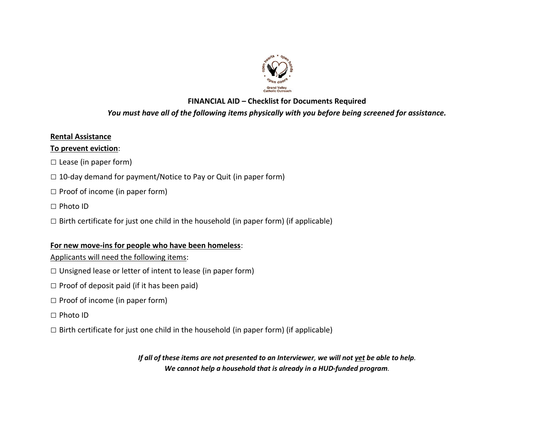

# **FINANCIAL AID – Checklist for Documents Required**

# *You must have all of the following items physically with you before being screened for assistance.*

### **Rental Assistance**

### **To prevent eviction**:

**□** Lease (in paper form)

- □ 10-day demand for payment/Notice to Pay or Quit (in paper form)
- **□** Proof of income (in paper form)
- **□** Photo ID
- **□** Birth certificate for just one child in the household (in paper form) (if applicable)

# **For new move-ins for people who have been homeless**:

Applicants will need the following items:

- **□** Unsigned lease or letter of intent to lease (in paper form)
- **□** Proof of deposit paid (if it has been paid)
- **□** Proof of income (in paper form)
- **□** Photo ID
- **□** Birth certificate for just one child in the household (in paper form) (if applicable)

*If all of these items are not presented to an Interviewer, we will not yet be able to help. We cannot help a household that is already in a HUD-funded program.*